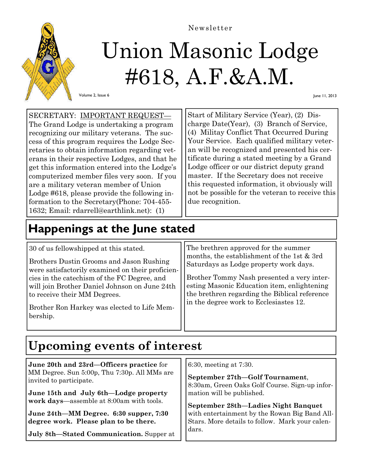

# Union Masonic Lodge #618, A.F.&A.M.

Volume 2, Issue 6

June 11, 2013

SECRETARY: IMPORTANT REQUEST— The Grand Lodge is undertaking a program recognizing our military veterans. The success of this program requires the Lodge Secretaries to obtain information regarding veterans in their respective Lodges, and that he get this information entered into the Lodge's computerized member files very soon. If you are a military veteran member of Union Lodge #618, please provide the following information to the Secretary(Phone: 704-455- 1632; Email: rdarrell@earthlink.net): (1)

Start of Military Service (Year), (2) Discharge Date(Year), (3) Branch of Service, (4) Militay Conflict That Occurred During Your Service. Each qualified military veteran will be recognized and presented his certificate during a stated meeting by a Grand Lodge officer or our district deputy grand master. If the Secretary does not receive this requested information, it obviously will not be possible for the veteran to receive this due recognition.

# **Happenings at the June stated**

30 of us fellowshipped at this stated.

Brothers Dustin Grooms and Jason Rushing were satisfactorily examined on their proficiencies in the catechism of the FC Degree, and will join Brother Daniel Johnson on June 24th to receive their MM Degrees.

Brother Ron Harkey was elected to Life Membership.

The brethren approved for the summer months, the establishment of the 1st & 3rd Saturdays as Lodge property work days.

Brother Tommy Nash presented a very interesting Masonic Education item, enlightening the brethren regarding the Biblical reference in the degree work to Ecclesiastes 12.

# **Upcoming events of interest**

| June 20th and 23rd-Officers practice for     | $6:30$ , meeting at 7:30.                       |
|----------------------------------------------|-------------------------------------------------|
| MM Degree. Sun 5:00p, Thu 7:30p. All MMs are | September 27th-Golf Tournament,                 |
| invited to participate.                      | 8:30am, Green Oaks Golf Course. Sign-up infor-  |
| June 15th and July 6th-Lodge property        | mation will be published.                       |
| work days—assemble at 8:00am with tools.     | September 28th-Ladies Night Banquet             |
| June 24th—MM Degree. 6:30 supper, 7:30       | with entertainment by the Rowan Big Band All-   |
| degree work. Please plan to be there.        | Stars. More details to follow. Mark your calen- |
| July 8th—Stated Communication. Supper at     | dars.                                           |

Newsletter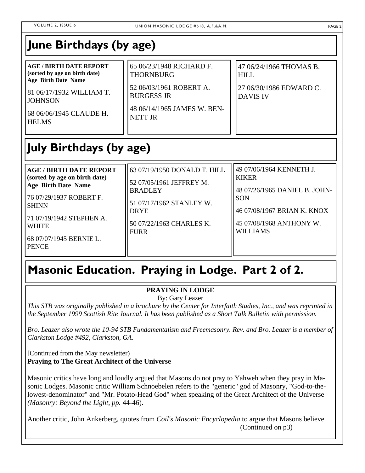**(sorted by age on birth date) Age Birth Date Name** 

**JOHNSON** 

**HELMS** 

81 06/17/1932 WILLIAM T.

68 06/06/1945 CLAUDE H.

**June Birthdays (by age) AGE / BIRTH DATE REPORT**  65 06/23/1948 RICHARD F. THORNBURG 47 06/24/1966 THOMAS B. HILL

> 52 06/03/1961 ROBERT A. BURGESS JR

48 06/14/1965 JAMES W. BEN-NETT JR

27 06/30/1986 EDWARD C. DAVIS IV

# **July Birthdays (by age)**

| <b>AGE / BIRTH DATE REPORT</b><br>(sorted by age on birth date)<br><b>Age Birth Date Name</b><br>  76 07/29/1937 ROBERT F.<br><b>SHINN</b><br>71 07/19/1942 STEPHEN A.<br><b>WHITE</b><br>68 07/07/1945 BERNIE L. | 63 07/19/1950 DONALD T. HILL<br>52 07/05/1961 JEFFREY M.<br><b>BRADLEY</b><br>51 07/17/1962 STANLEY W.<br><b>DRYE</b><br>50 07/22/1963 CHARLES K.<br><b>FURR</b> | 49 07/06/1964 KENNETH J.<br><b>KIKER</b><br>48 07/26/1965 DANIEL B. JOHN-<br><b>SON</b><br>46 07/08/1967 BRIAN K. KNOX<br>45 07/08/1968 ANTHONY W.<br><b>WILLIAMS</b> |
|-------------------------------------------------------------------------------------------------------------------------------------------------------------------------------------------------------------------|------------------------------------------------------------------------------------------------------------------------------------------------------------------|-----------------------------------------------------------------------------------------------------------------------------------------------------------------------|
| <b>PENCE</b>                                                                                                                                                                                                      |                                                                                                                                                                  |                                                                                                                                                                       |

## **Masonic Education. Praying in Lodge. Part 2 of 2.**

## **PRAYING IN LODGE**

By: Gary Leazer

*This STB was originally published in a brochure by the Center for Interfaith Studies, Inc., and was reprinted in the September 1999 Scottish Rite Journal. It has been published as a Short Talk Bulletin with permission.*

*Bro. Leazer also wrote the 10-94 STB Fundamentalism and Freemasonry. Rev. and Bro. Leazer is a member of Clarkston Lodge #492, Clarkston, GA*.

[Continued from the May newsletter) **Praying to The Great Architect of the Universe** 

Masonic critics have long and loudly argued that Masons do not pray to Yahweh when they pray in Masonic Lodges. Masonic critic William Schnoebelen refers to the "generic" god of Masonry, "God-to-thelowest-denominator" and "Mr. Potato-Head God" when speaking of the Great Architect of the Universe *(Masonry: Beyond the Light, pp.* 44-46).

Another critic, John Ankerberg, quotes from *Coil's Masonic Encyclopedia* to argue that Masons believe (Continued on p3)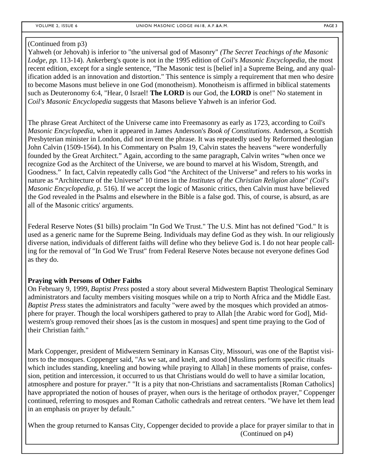Yahweh (or Jehovah) is inferior to "the universal god of Masonry" *(The Secret Teachings of the Masonic Lodge, pp.* 113-14). Ankerberg's quote is not in the 1995 edition of *Coil's Masonic Encyclopedia,* the most recent edition, except for a single sentence, "The Masonic test is [belief in] a Supreme Being, and any qualification added is an innovation and distortion." This sentence is simply a requirement that men who desire to become Masons must believe in one God (monotheism). Monotheism is affirmed in biblical statements such as Deuteronomy 6:4, "Hear, 0 Israel! **The LORD** is our God, the **LORD** is one!" No statement in *Coil's Masonic Encyclopedia* suggests that Masons believe Yahweh is an inferior God.

The phrase Great Architect of the Universe came into Freemasonry as early as 1723, according to Coil's *Masonic Encyclopedia,* when it appeared in James Anderson's *Book of Constitutions.* Anderson, a Scottish Presbyterian minister in London, did not invent the phrase. It was repeatedly used by Reformed theologian John Calvin (1509-1564). In his Commentary on Psalm 19, Calvin states the heavens "were wonderfully founded by the Great Architect." Again, according to the same paragraph, Calvin writes "when once we recognize God as the Architect of the Universe, we are bound to marvel at his Wisdom, Strength, and Goodness." In fact, Calvin repeatedly calls God "the Architect of the Universe" and refers to his works in nature as "Architecture of the Universe" 10 times in the *Institutes of the Christian Religion* alone" *(Coil's Masonic Encyclopedia, p.* 516). If we accept the logic of Masonic critics, then Calvin must have believed the God revealed in the Psalms and elsewhere in the Bible is a false god. This, of course, is absurd, as are all of the Masonic critics' arguments.

Federal Reserve Notes (\$1 bills) proclaim "In God We Trust." The U.S. Mint has not defined "God." It is used as a generic name for the Supreme Being. Individuals may define God as they wish. In our religiously diverse nation, individuals of different faiths will define who they believe God is. I do not hear people calling for the removal of "In God We Trust" from Federal Reserve Notes because not everyone defines God as they do.

## **Praying with Persons of Other Faiths**

On February 9, 1999, *Baptist Press* posted a story about several Midwestern Baptist Theological Seminary administrators and faculty members visiting mosques while on a trip to North Africa and the Middle East. *Baptist Press* states the administrators and faculty "were awed by the mosques which provided an atmosphere for prayer. Though the local worshipers gathered to pray to Allah [the Arabic word for God], Midwestern's group removed their shoes [as is the custom in mosques] and spent time praying to the God of their Christian faith."

Mark Coppenger, president of Midwestern Seminary in Kansas City, Missouri, was one of the Baptist visitors to the mosques. Coppenger said, "As we sat, and knelt, and stood [Muslims perform specific rituals which includes standing, kneeling and bowing while praying to Allah] in these moments of praise, confession, petition and intercession, it occurred to us that Christians would do well to have a similar location, atmosphere and posture for prayer." "It is a pity that non-Christians and sacramentalists [Roman Catholics] have appropriated the notion of houses of prayer, when ours is the heritage of orthodox prayer," Coppenger continued, referring to mosques and Roman Catholic cathedrals and retreat centers. "We have let them lead in an emphasis on prayer by default."

When the group returned to Kansas City, Coppenger decided to provide a place for prayer similar to that in (Continued on p4)